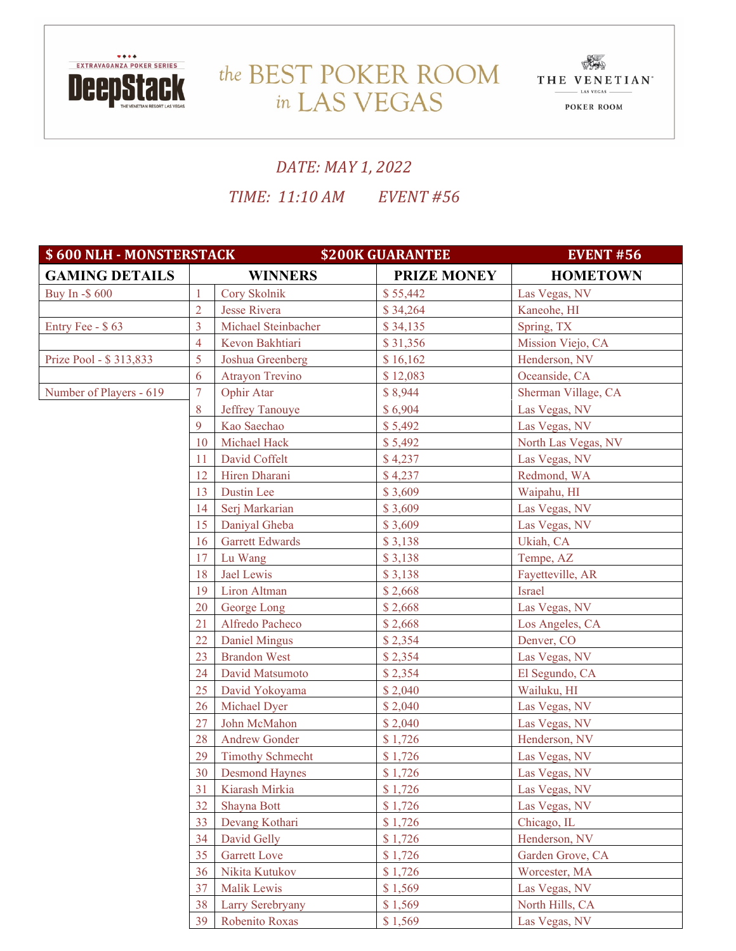

## THE BEST POKER ROOM THE VENETIAN in LAS VEGAS



## *DATE: MAY 1, 2022 TIME: 11:10 AM EVENT #56*

| \$600 NLH - MONSTERSTACK |                |                         | \$200K GUARANTEE   | <b>EVENT #56</b>    |
|--------------------------|----------------|-------------------------|--------------------|---------------------|
| <b>GAMING DETAILS</b>    |                | <b>WINNERS</b>          | <b>PRIZE MONEY</b> | <b>HOMETOWN</b>     |
| Buy In -\$600            | 1              | Cory Skolnik            | \$55,442           | Las Vegas, NV       |
|                          | $\overline{2}$ | Jesse Rivera            | \$34,264           | Kaneohe, HI         |
| Entry Fee - \$63         | $\overline{3}$ | Michael Steinbacher     | \$34,135           | Spring, TX          |
|                          | 4              | Kevon Bakhtiari         | \$31,356           | Mission Viejo, CA   |
| Prize Pool - \$ 313,833  | 5              | Joshua Greenberg        | \$16,162           | Henderson, NV       |
|                          | 6              | <b>Atrayon Trevino</b>  | \$12,083           | Oceanside, CA       |
| Number of Players - 619  | $\overline{7}$ | Ophir Atar              | \$8,944            | Sherman Village, CA |
|                          | 8              | Jeffrey Tanouye         | \$6,904            | Las Vegas, NV       |
|                          | 9              | Kao Saechao             | \$5,492            | Las Vegas, NV       |
|                          | 10             | Michael Hack            | \$5,492            | North Las Vegas, NV |
|                          | 11             | David Coffelt           | \$4,237            | Las Vegas, NV       |
|                          | 12             | Hiren Dharani           | \$4,237            | Redmond, WA         |
|                          | 13             | Dustin Lee              | \$3,609            | Waipahu, HI         |
|                          | 14             | Serj Markarian          | \$3,609            | Las Vegas, NV       |
|                          | 15             | Daniyal Gheba           | \$3,609            | Las Vegas, NV       |
|                          | 16             | <b>Garrett Edwards</b>  | \$3,138            | Ukiah, CA           |
|                          | 17             | Lu Wang                 | \$3,138            | Tempe, AZ           |
|                          | 18             | Jael Lewis              | \$3,138            | Fayetteville, AR    |
|                          | 19             | Liron Altman            | \$2,668            | Israel              |
|                          | 20             | George Long             | \$2,668            | Las Vegas, NV       |
|                          | 21             | Alfredo Pacheco         | \$2,668            | Los Angeles, CA     |
|                          | 22             | <b>Daniel Mingus</b>    | \$2,354            | Denver, CO          |
|                          | 23             | <b>Brandon West</b>     | \$2,354            | Las Vegas, NV       |
|                          | 24             | David Matsumoto         | \$2,354            | El Segundo, CA      |
|                          | 25             | David Yokoyama          | \$2,040            | Wailuku, HI         |
|                          | 26             | Michael Dyer            | \$2,040            | Las Vegas, NV       |
|                          | 27             | John McMahon            | \$2,040            | Las Vegas, NV       |
|                          | 28             | <b>Andrew Gonder</b>    | \$1,726            | Henderson, NV       |
|                          | 29             | <b>Timothy Schmecht</b> | \$1,726            | Las Vegas, NV       |
|                          | 30             | <b>Desmond Haynes</b>   | \$1,726            | Las Vegas, NV       |
|                          | 31             | Kiarash Mirkia          | \$1,726            | Las Vegas, NV       |
|                          | 32             | Shayna Bott             | \$1,726            | Las Vegas, NV       |
|                          | 33             | Devang Kothari          | \$1,726            | Chicago, IL         |
|                          | 34             | David Gelly             | \$1,726            | Henderson, NV       |
|                          | 35             | <b>Garrett Love</b>     | \$1,726            | Garden Grove, CA    |
|                          | 36             | Nikita Kutukov          | \$1,726            | Worcester, MA       |
|                          | 37             | <b>Malik Lewis</b>      | \$1,569            | Las Vegas, NV       |
|                          | 38             | Larry Serebryany        | \$1,569            | North Hills, CA     |
|                          | 39             | Robenito Roxas          | \$1,569            | Las Vegas, NV       |